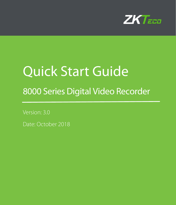

# Quick Start Guide

# 8000 Series Digital Video Recorder

Version: 3.0

Date: October 2018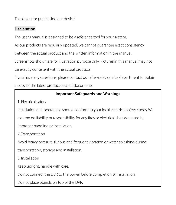Thank you for purchasing our device!

#### **Declaration**

The user's manual is designed to be a reference tool for your system.

As our products are regularly updated, we cannot guarantee exact consistency

between the actual product and the written information in the manual.

Screenshots shown are for illustration purpose only. Pictures in this manual may not

be exactly consistent with the actual products.

If you have any questions, please contact our after-sales service department to obtain a copy of the latest product-related documents.

#### **Important Safeguards and Warnings**

1. Electrical safety

Installation and operations should conform to your local electrical safety codes. We assume no liability or responsibility for any fires or electrical shocks caused by improper handling or installation.

2. Transportation

Avoid heavy pressure, furious and frequent vibration or water splashing during

transportation, storage and installation.

3. Installation

Keep upright, handle with care.

Do not connect the DVR to the power before completion of installation.

Do not place objects on top of the DVR.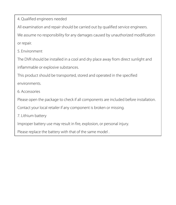4. Qualified engineers needed

All examination and repair should be carried out by qualified service engineers.

We assume no responsibility for any damages caused by unauthorized modification or repair.

5. Environment

The DVR should be installed in a cool and dry place away from direct sunlight and

inflammable or explosive substances.

This product should be transported, stored and operated in the specified

environments.

6. Accessories

Please open the package to check if all components are included before installation.

Contact your local retailer if any component is broken or missing.

7. Lithium battery

Improper battery use may result in fire, explosion, or personal injury.

Please replace the battery with that of the same model .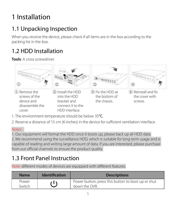# 1 Installation

### 1.1 Unpacking Inspection

When you receive the device, please check if all items are in the box according to the packing list in the box.

### 1.2 HDD Installation

**Tools**: A cross screwdriver.



- 1. The environment temperature should be below 35℃.
- 2. Reserve a distance of 15 cm (6 inches) in the device for sufficient ventilation interface.

#### Notes:

1. Our equipment will format the HDD once it boots up, please back up all HDD data. 2. We recommend using the surveillance HDD, which is suitable for long term usage and is capable of reading and writing large amount of data. If you are interested, please purchase from our official channels to ensure the product quality.

### 1.3 Front Panel Instruction

Note: different modes of devices are equipped with different features.

| <b>Name</b>     | <b>Identification</b> | <b>Descriptions</b>                                                 |
|-----------------|-----------------------|---------------------------------------------------------------------|
| Power<br>Switch | ۱۱                    | Power button; press this button to boot up or shut<br>down the DVR. |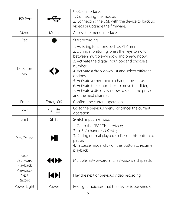| <b>USB Port</b>                      |                   | USB2.0 interface:<br>1. Connecting the mouse;<br>2. Connecting the USB with the device to back up<br>videos or upgrade the firmware.                                                                                                                                                                                                                                                                                                                   |
|--------------------------------------|-------------------|--------------------------------------------------------------------------------------------------------------------------------------------------------------------------------------------------------------------------------------------------------------------------------------------------------------------------------------------------------------------------------------------------------------------------------------------------------|
| Menu                                 | Menu              | Access the menu interface.                                                                                                                                                                                                                                                                                                                                                                                                                             |
| Rec                                  |                   | Start recording.                                                                                                                                                                                                                                                                                                                                                                                                                                       |
| Direction<br>Key                     |                   | 1. Assisting functions such as PTZ menu;<br>2. During monitoring, press the keys to switch<br>between multiple-window and one-window;<br>3. Activate the digital input box and choose a<br>number;<br>4. Activate a drop-down list and select different<br>options;<br>5. Activate a checkbox to change the status;<br>6. Activate the control box to move the slider:<br>7. Activate a display window to select the previous<br>and the next channel. |
| Enter                                | Enter, OK         | Confirm the current operation.                                                                                                                                                                                                                                                                                                                                                                                                                         |
| <b>FSC</b>                           | Esc, $\bigstar$   | Go to the previous menu, or cancel the current<br>operation.                                                                                                                                                                                                                                                                                                                                                                                           |
| Shift                                | Shift             | Switch input methods.                                                                                                                                                                                                                                                                                                                                                                                                                                  |
| Play/Pause                           | ЫІ                | 1. Go to the SEARCH interface;<br>2. In PTZ channel: ZOOM+;<br>3. During normal playback, click on this button to<br>pause;<br>4. In pause mode, click on this button to resume<br>playback.                                                                                                                                                                                                                                                           |
| Fast/<br><b>Backward</b><br>Playback | $\leftrightarrow$ | Multiple fast-forward and fast-backward speeds.                                                                                                                                                                                                                                                                                                                                                                                                        |
| Previous/<br>Next<br>Record          | ЮH                | Play the next or previous video recording.                                                                                                                                                                                                                                                                                                                                                                                                             |
| Power Light                          | Power             | Red light indicates that the device is powered on.                                                                                                                                                                                                                                                                                                                                                                                                     |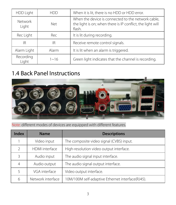| HDD Light               | HDD        | When it is lit, there is no HDD or HDD error.                                                                              |
|-------------------------|------------|----------------------------------------------------------------------------------------------------------------------------|
| <b>Network</b><br>Light | <b>Net</b> | When the device is connected to the network cable,<br>the light is on; when there is IP conflict, the light will<br>flash. |
| Rec Light               | Rec        | It is lit during recording.                                                                                                |
| ΙR                      | ΙR         | Receive remote control signals.                                                                                            |
| Alarm Light             | Alarm      | It is lit when an alarm is triggered.                                                                                      |
| Recording<br>Light      | $1 - 16$   | Green light indicates that the channel is recording.                                                                       |

#### 1.4 Back Panel Instructions



Note: different modes of devices are equipped with different features.

| Index         | <b>Name</b>       | <b>Descriptions</b>                              |
|---------------|-------------------|--------------------------------------------------|
|               | Video input       | The composite video signal (CVBS) input.         |
| $\mathcal{P}$ | HDMI interface    | High-resolution video output interface.          |
| ς             | Audio input       | The audio signal input interface.                |
| 4             | Audio output      | The audio signal output interface.               |
|               | VGA interface     | Video output interface.                          |
| 6             | Network interface | 10M/100M self-adaptive Ethernet interface(RJ45). |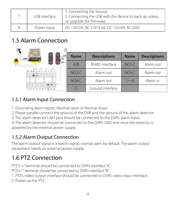| USB interface | 1. Connecting the mouse;<br>2. Connecting the USB with the device to back up videos<br>or upgrade the firmware. |
|---------------|-----------------------------------------------------------------------------------------------------------------|
| Power input   | DC 12V/2A, DC 12V/3.3A, DC 12V/4A, AC220V.                                                                      |

### 1.5 Alarm Connection

| <b>Control</b><br>12V<br><b>NO</b><br>220V | <b>Name</b>  | <b>Descriptions</b> | <b>Name</b>        | <b>Descriptions</b> |
|--------------------------------------------|--------------|---------------------|--------------------|---------------------|
| <b>GND</b>                                 | A/B          | RS485 interface     | NO <sub>1.C</sub>  | Alarm out           |
|                                            | <b>NO2.C</b> | Alarm out           | NO <sub>3</sub> .C | Alarm out           |
| 0  0  0  0  0  0                           | <b>NO4.C</b> | Alarm out           | $1 - 8$            | Alarm in            |
|                                            | G            | Ground interface    |                    |                     |

#### 1.5.1 Alarm Input Connection

- 1. Grounding alarm inputs. (Normal open or Normal close)
- 2. Please parallel connect the ground of the DVR and the ground of the alarm detector.
- 3. The alarm detector's NO port should be connected to the DVR's alarm input.

4. The alarm detector should be connected to the DVR's GND end once the detector is powered by the external power supply.

#### 1.5.2 Alarm Output Connection

The alarm output signal is a switch signal, normal open by default. The alarm output equipment needs an external power supply.

### 1.6 PTZ Connection

PTZ's "+" terminal should be connected to DVR's interface "A";

PTZ's "-" terminal should be connected to DVR's interface "B".

- 1. PTZ's video output interface should be connected to DVR's video input interface.
- 2. Power up the PTZ.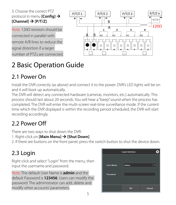

## 2 Basic Operation Guide

### 2.1 Power On

Install the DVR correctly (as above) and connect it to the power. DVR's LED lights will be on and it will boot up automatically.

The DVR will detect any connected hardware (cameras, monitors, etc.) automatically. This process should last about 20 seconds. You will hear a "beep" sound when the process has completed. The DVR will enter the multi-screen real-time surveillance mode. If the current time which the DVR displayed is within the recording period scheduled, the DVR will start recording accordingly.

### 2.2 Power Off

There are two ways to shut down the DVR:

- 1. Right-click on **[Main Menu] [Shut Down]**.
- 2. If there are buttons on the front panel, press the switch button to shut the device down.

### 2.3 Login

Right-click and select "Login" from the menu, then input the username and password.

Note: The default User Name is **admin** and the default Password is **123456**. Users can modify the password. The administrator can add, delete and modify other accounts' parameters.

|                  | <b>Login Interface</b> |        |
|------------------|------------------------|--------|
| <b>User Name</b> | admin                  |        |
| Password         |                        |        |
|                  |                        |        |
|                  | <b>OK</b>              | Cancel |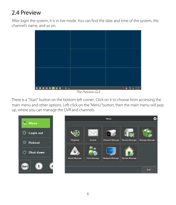### 2.4 Preview

After login the system, it is in live mode. You can find the date and time of the system, the channel's name, and so on.



The Preview GUI

There is a "Start" button on the bottom-left corner. Click on it to choose from accessing the main menu and other options. Left-click on the "Menu" button, then the main menu will pop up, where you can manage the DVR and channels.



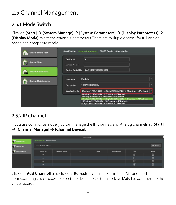### 2.5 Channel Management

#### 2.5.1 Mode Switch

Click on **[Start] [System Manage] [System Parameters] [Display Parameters]**

**[Display Mode]** to set the channel's parameters. There are multiple options for full-analog mode and composite mode.

| <b>System Information</b> | <b>Specification</b>            | RS485 Config Other Config<br><b>Display Parameters</b>                                                                                                                                                   |            |
|---------------------------|---------------------------------|----------------------------------------------------------------------------------------------------------------------------------------------------------------------------------------------------------|------------|
| <b>System Time</b>        | Device ID<br><b>Device Name</b> | $\bf{0}$                                                                                                                                                                                                 |            |
| <b>System Parameters</b>  | <b>Device Serial No</b>         | 0ba70002769f00003972                                                                                                                                                                                     |            |
| <b>System Maintenance</b> | Language                        | English                                                                                                                                                                                                  | v          |
|                           | <b>Resolution</b>               | 1920*1080@60Hz                                                                                                                                                                                           | $\ddot{ }$ |
|                           | <b>Display Mode</b>             | 4Analog(1296x1944) + 4Digital(1920x1080) + 9Preview + 4Playback                                                                                                                                          |            |
|                           |                                 | 8Analog(1296x1944) + 9Preview + 4Playback<br>8Analog(960x1080) + 9Preview + 9Playback<br>4Analog(1296x1944) + 4Digital(1920x1080) + 9Preview + 4Playback<br>16Digital(1920x1080) + 16Preview + 4Playback |            |
|                           |                                 | 4Digital(2592X1944) + 4Preview + 1Playback                                                                                                                                                               |            |

#### 2.5.2 IP Channel

If you use composite mode, you can manage the IP channels and Analog channels at **[Start] [Channel Manage] [Channel Device].**

|                                        | <b>Chennel Manage</b>      |                                      |      |                 |                          |             |                    |
|----------------------------------------|----------------------------|--------------------------------------|------|-----------------|--------------------------|-------------|--------------------|
| <b>Charnel Device</b><br>ЮP            |                            | Channel Information Firmware Upgrade |      |                 |                          |             |                    |
| <b>Regular Contig</b>                  | Income Bandwidth 0/21 Mbps |                                      |      |                 |                          |             | <b>Add Chasnel</b> |
| <b><i><u>Regular Detection</u></i></b> | Channel No.                | <b>Connection Address</b>            | Pon. | <b>Frenezel</b> | <b>Connection Change</b> | <b>Call</b> | <b>Delate</b>      |
|                                        | 05                         |                                      |      |                 |                          | 区           | 面                  |
|                                        | 06                         |                                      |      |                 |                          | 区           | 而                  |
|                                        | 07                         |                                      |      |                 |                          | 区           | m                  |
|                                        | DA.                        |                                      |      |                 |                          | 区           | m                  |
|                                        |                            |                                      |      |                 |                          |             |                    |

Click on **[Add Channel]** and click on **[Refresh]** to search IPCs in the LAN, and tick the corresponding checkboxes to select the desired IPCs, then click on **[Add]** to add them to the video recorder.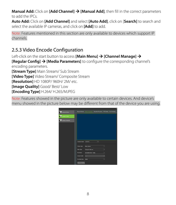**Manual Add:** Click on **[Add Channel] [Manual Add]**, then fill in the correct parameters to add the IPCs.

**Auto Add:** Click on **[Add Channel]** and select **[Auto Add]**, click on [**Search]** to search and select the available IP cameras, and click on **[Add]** to add.

Note: Features mentioned in this section are only available to devices which support IP channels.

#### 2.5.3 Video Encode Configuration

Left-click on the start button to access **[Main Menu] [Channel Manage]**

**[Regular Config]**  $\rightarrow$  **[Media Parameters]** to configure the corresponding channel's encoding parameters.

**[Stream Type]** Main Stream/ Sub Stream

**[Video Type]** Video Stream/ Composite Stream

**[Resolution]** HD 1080P/ 960H/ 2M/ etc.

**[Image Quality]** Good/ Best/ Low

**[Encoding Type]** H.264/ H.265/MJPEG

Note: Features showed in the picture are only available to certain devices. And device's menu showed in the picture below may be different from that of the device you are using.

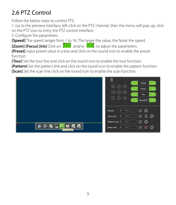### 2.6 PTZ Control

Follow the below steps to control PTZ.

1. Go to the preview interface, left-click on the PTZ channel, then the menu will pop up; click on the PTZ icon to entry the PTZ control interface.

2. Configure the parameters.

**[Speed]** The speed ranges from 1 to 16. The larger the value, the faster the speed.

**[Zoom] [Focus] [Iris]** Click on **The parameters.** The parameters.

**[Preset]** Input preset value in a box and click on the round icon to enable the preset function.

**[Tour]** Set the tour line and click on the round icon to enable the tour function.

**[Pattern]** Set the pattern line and click on the round icon to enable the pattern function.

**[Scan]** Set the scan line click on the round icon to enable the scan function.

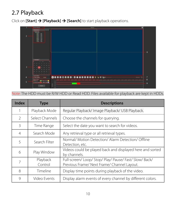### 2.7 Playback

Click on **[Start] [Playback] [Search]** to start playback operations.



#### Note: The HDD must be R/W HDD or Read HDD. Files available for playback are kept in HDDs.

| Index         | <b>Type</b>         | <b>Descriptions</b>                                                                             |
|---------------|---------------------|-------------------------------------------------------------------------------------------------|
|               | Playback Mode       | Regular Playback/ Image Playback/ USB Playback.                                                 |
| $\mathcal{P}$ | Select Channels     | Choose the channels for querying.                                                               |
| 3             | Time Range          | Select the date you want to search for videos.                                                  |
| 4             | Search Mode         | Any retrieval type or all retrieval types.                                                      |
| 5             | Search Filter       | Normal/ Motion Detection/ Alarm Detection/ Offline<br>Detection, etc.                           |
| 6             | Play Window         | Videos could be played back and displayed here and sorted<br>by channels.                       |
| 7             | Playback<br>Control | Full-screen/Loop/Stop/Play/Pause/Fast/Slow/Back/<br>Previous Frame/ Next Frame/ Channel Layout. |
| 8             | Timeline            | Display time points during playback of the video.                                               |
| 9             | Video Events        | Display alarm events of every channel by different colors.                                      |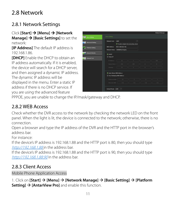### 2.8 Network

#### 2.8.1 Network Settings

#### Click **[Start] [Menu] [Network Manage] [Basic Settings]** to set the

network:

**[IP Address]** The default IP address is 192.168.1.86.

**[DHCP]** Enable the DHCP to obtain an IP address automatically. If it is enabled, the device will search for a DHCP server, and then assigned a dynamic IP address. The dynamic IP address will be displayed in the menu. Enter a static IP address if there is no DHCP service. If you are using the advanced feature



PPPOE, you are unable to change the IP/mask/gateway and DHCP.

#### 2.8.2 WEB Access

Check whether the DVR access to the network by checking the network LED on the front panel. When the light is lit, the device is connected to the network; otherwise, there is no connection.

Open a browser and type the IP address of the DVR and the HTTP port in the browser's address bar.

For instance:

If the device's IP address is 192.168.1.88 and the HTTP port is 80, then you should type [http://192.168.1.88](http://192.168.1.88/) in the address bar.

If the device's IP address is 192.168.1.88 and the HTTP port is 90, then you should type [http://192.168.1.88:90](http://192.168.1.88:90/) in the address bar.

#### 2.8.3 Client Access

Mobile Phone Application Access

1. Click on **[Start] [Menu] [Network Manage] [Basic Setting] [Platform Setting] [AntarView Pro]** and enable this function.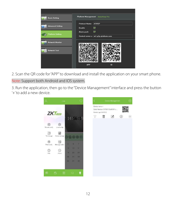| <b>Basic Setting</b>                              | Platform Management AntarView Pro                                |
|---------------------------------------------------|------------------------------------------------------------------|
| <b>Advanced Setting</b>                           | Protocol Name<br><b>ATVISP</b><br>▽<br>Enable<br>M<br>Alarm push |
| <b>Platform Setting</b><br><b>Network Monitor</b> | Central server a m1.p2p-platform.com                             |
| <b>Network Test</b>                               |                                                                  |
|                                                   | ID<br><b>APP</b>                                                 |

2. Scan the QR code for "APP" to download and install the application on your smart phone.

#### Note: Support both Android and IOS system.

3. Run the application, then go to the "Device Management" interface and press the button '+' to add a new device.